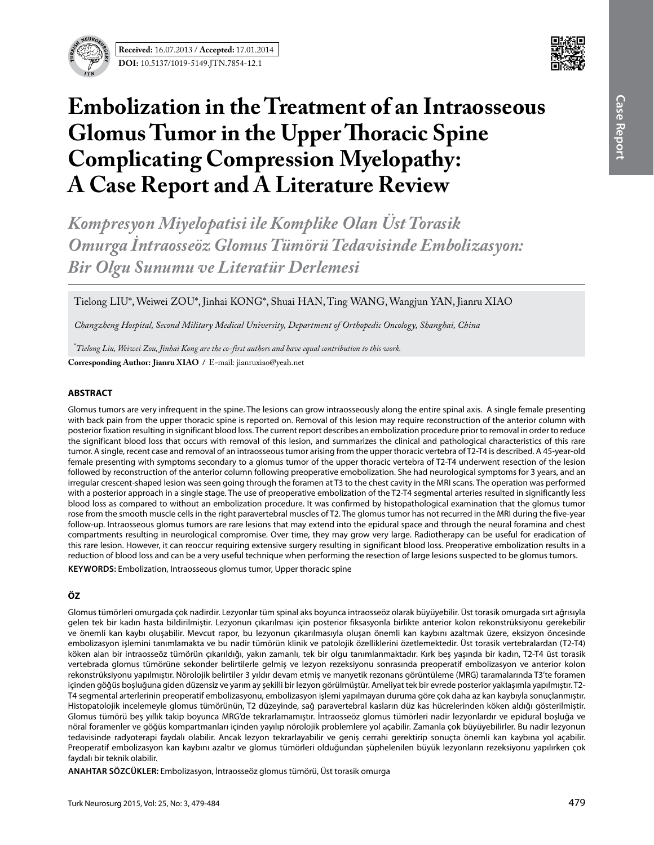

**Received:** 16.07.2013 / **Accepted:** 17.01.2014 **DOI:** 10.5137/1019-5149.JTN.7854-12.1



# **Embolization in the Treatment of an Intraosseous Glomus Tumor in the Upper Thoracic Spine Complicating Compression Myelopathy: A Case Report and A Literature Review**

*Kompresyon Miyelopatisi ile Komplike Olan Üst Torasik Omurga İntraosseöz Glomus Tümörü Tedavisinde Embolizasyon: Bir Olgu Sunumu ve Literatür Derlemesi*

Tielong LIU\*, Weiwei ZOU\*, Jinhai KONG\*, Shuai HAN, Ting WANG, Wangjun YAN, Jianru XIAO

*Changzheng Hospital, Second Military Medical University, Department of Orthopedic Oncology, Shanghai, China* 

\* *Tielong Liu, Weiwei Zou, Jinhai Kong are the co-first authors and have equal contribution to this work.*

**Corresponding Author: Jianru Xıao /** E-mail: jianruxiao@yeah.net

# **ABSTRACT**

Glomus tumors are very infrequent in the spine. The lesions can grow intraosseously along the entire spinal axis. A single female presenting with back pain from the upper thoracic spine is reported on. Removal of this lesion may require reconstruction of the anterior column with posterior fixation resulting in significant blood loss. The current report describes an embolization procedure prior to removal in order to reduce the significant blood loss that occurs with removal of this lesion, and summarizes the clinical and pathological characteristics of this rare tumor. A single, recent case and removal of an intraosseous tumor arising from the upper thoracic vertebra of T2-T4 is described. A 45-year-old female presenting with symptoms secondary to a glomus tumor of the upper thoracic vertebra of T2-T4 underwent resection of the lesion followed by reconstruction of the anterior column following preoperative emobolization. She had neurological symptoms for 3 years, and an irregular crescent-shaped lesion was seen going through the foramen at T3 to the chest cavity in the MRI scans. The operation was performed with a posterior approach in a single stage. The use of preoperative embolization of the T2-T4 segmental arteries resulted in significantly less blood loss as compared to without an embolization procedure. It was confirmed by histopathological examination that the glomus tumor rose from the smooth muscle cells in the right paravertebral muscles of T2. The glomus tumor has not recurred in the MRI during the five-year follow-up. Intraosseous glomus tumors are rare lesions that may extend into the epidural space and through the neural foramina and chest compartments resulting in neurological compromise. Over time, they may grow very large. Radiotherapy can be useful for eradication of this rare lesion. However, it can reoccur requiring extensive surgery resulting in significant blood loss. Preoperative embolization results in a reduction of blood loss and can be a very useful technique when performing the resection of large lesions suspected to be glomus tumors.

**KEYWORDS:** Embolization, Intraosseous glomus tumor, Upper thoracic spine

# **ÖZ**

Glomus tümörleri omurgada çok nadirdir. Lezyonlar tüm spinal aks boyunca intraosseöz olarak büyüyebilir. Üst torasik omurgada sırt ağrısıyla gelen tek bir kadın hasta bildirilmiştir. Lezyonun çıkarılması için posterior fiksasyonla birlikte anterior kolon rekonstrüksiyonu gerekebilir ve önemli kan kaybı oluşabilir. Mevcut rapor, bu lezyonun çıkarılmasıyla oluşan önemli kan kaybını azaltmak üzere, eksizyon öncesinde embolizasyon işlemini tanımlamakta ve bu nadir tümörün klinik ve patolojik özelliklerini özetlemektedir. Üst torasik vertebralardan (T2-T4) köken alan bir intraosseöz tümörün çıkarıldığı, yakın zamanlı, tek bir olgu tanımlanmaktadır. Kırk beş yaşında bir kadın, T2-T4 üst torasik vertebrada glomus tümörüne sekonder belirtilerle gelmiş ve lezyon rezeksiyonu sonrasında preoperatif embolizasyon ve anterior kolon rekonstrüksiyonu yapılmıştır. Nörolojik belirtiler 3 yıldır devam etmiş ve manyetik rezonans görüntüleme (MRG) taramalarında T3'te foramen içinden göğüs boşluğuna giden düzensiz ve yarım ay şekilli bir lezyon görülmüştür. Ameliyat tek bir evrede posterior yaklaşımla yapılmıştır. T2- T4 segmental arterlerinin preoperatif embolizasyonu, embolizasyon işlemi yapılmayan duruma göre çok daha az kan kaybıyla sonuçlanmıştır. Histopatolojik incelemeyle glomus tümörünün, T2 düzeyinde, sağ paravertebral kasların düz kas hücrelerinden köken aldığı gösterilmiştir. Glomus tümörü beş yıllık takip boyunca MRG'de tekrarlamamıştır. İntraosseöz glomus tümörleri nadir lezyonlardır ve epidural boşluğa ve nöral foramenler ve göğüs kompartmanları içinden yayılıp nörolojik problemlere yol açabilir. Zamanla çok büyüyebilirler. Bu nadir lezyonun tedavisinde radyoterapi faydalı olabilir. Ancak lezyon tekrarlayabilir ve geniş cerrahi gerektirip sonuçta önemli kan kaybına yol açabilir. Preoperatif embolizasyon kan kaybını azaltır ve glomus tümörleri olduğundan şüphelenilen büyük lezyonların rezeksiyonu yapılırken çok faydalı bir teknik olabilir.

**ANAHTAR SÖZCÜKLER:** Embolizasyon, İntraosseöz glomus tümörü, Üst torasik omurga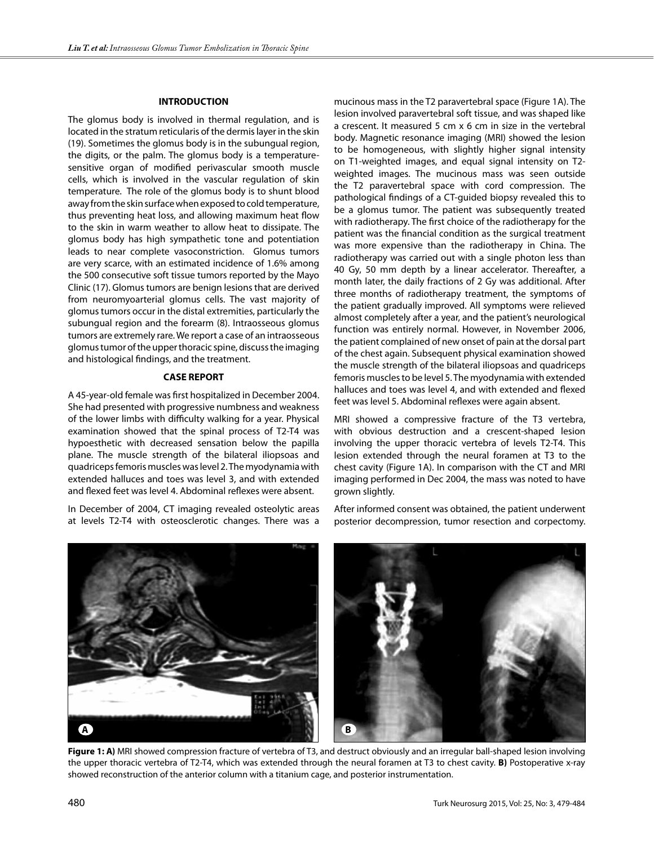#### **INTRODUCTION**

The glomus body is involved in thermal regulation, and is located in the stratum reticularis of the dermis layer in the skin (19). Sometimes the glomus body is in the subungual region, the digits, or the palm. The glomus body is a temperaturesensitive organ of modified perivascular smooth muscle cells, which is involved in the vascular regulation of skin temperature. The role of the glomus body is to shunt blood away from the skin surface when exposed to cold temperature, thus preventing heat loss, and allowing maximum heat flow to the skin in warm weather to allow heat to dissipate. The glomus body has high sympathetic tone and potentiation leads to near complete vasoconstriction. Glomus tumors are very scarce, with an estimated incidence of 1.6% among the 500 consecutive soft tissue tumors reported by the Mayo Clinic (17). Glomus tumors are benign lesions that are derived from neuromyoarterial glomus cells. The vast majority of glomus tumors occur in the distal extremities, particularly the subungual region and the forearm (8). Intraosseous glomus tumors are extremely rare. We report a case of an intraosseous glomus tumor of the upper thoracic spine, discuss the imaging and histological findings, and the treatment.

#### **CASE REPORT**

A 45-year-old female was first hospitalized in December 2004. She had presented with progressive numbness and weakness of the lower limbs with difficulty walking for a year. Physical examination showed that the spinal process of T2-T4 was hypoesthetic with decreased sensation below the papilla plane. The muscle strength of the bilateral iliopsoas and quadriceps femoris muscles was level 2. The myodynamia with extended halluces and toes was level 3, and with extended and flexed feet was level 4. Abdominal reflexes were absent.

In December of 2004, CT imaging revealed osteolytic areas at levels T2-T4 with osteosclerotic changes. There was a

mucinous mass in the T2 paravertebral space (Figure 1a). The lesion involved paravertebral soft tissue, and was shaped like a crescent. It measured 5 cm x 6 cm in size in the vertebral body. Magnetic resonance imaging (MRI) showed the lesion to be homogeneous, with slightly higher signal intensity on T1-weighted images, and equal signal intensity on T2 weighted images. The mucinous mass was seen outside the T2 paravertebral space with cord compression. The pathological findings of a CT-guided biopsy revealed this to be a glomus tumor. The patient was subsequently treated with radiotherapy. The first choice of the radiotherapy for the patient was the financial condition as the surgical treatment was more expensive than the radiotherapy in China. The radiotherapy was carried out with a single photon less than 40 Gy, 50 mm depth by a linear accelerator. Thereafter, a month later, the daily fractions of 2 Gy was additional. After three months of radiotherapy treatment, the symptoms of the patient gradually improved. All symptoms were relieved almost completely after a year, and the patient's neurological function was entirely normal. However, in November 2006, the patient complained of new onset of pain at the dorsal part of the chest again. Subsequent physical examination showed the muscle strength of the bilateral iliopsoas and quadriceps femoris muscles to be level 5. The myodynamia with extended halluces and toes was level 4, and with extended and flexed feet was level 5. Abdominal reflexes were again absent.

MRI showed a compressive fracture of the T3 vertebra, with obvious destruction and a crescent-shaped lesion involving the upper thoracic vertebra of levels T2-T4. This lesion extended through the neural foramen at T3 to the chest cavity (Figure 1A). In comparison with the CT and MRI imaging performed in Dec 2004, the mass was noted to have grown slightly.

After informed consent was obtained, the patient underwent posterior decompression, tumor resection and corpectomy.



**Figure 1: A)** MRI showed compression fracture of vertebra of T3, and destruct obviously and an irregular ball-shaped lesion involving the upper thoracic vertebra of T2-T4, which was extended through the neural foramen at T3 to chest cavity. **B)** Postoperative x-ray showed reconstruction of the anterior column with a titanium cage, and posterior instrumentation.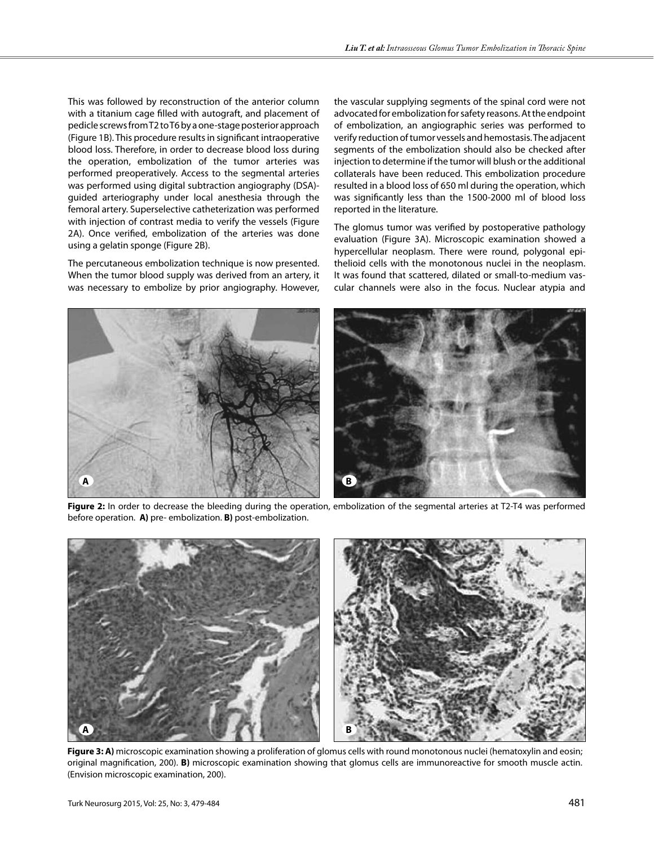This was followed by reconstruction of the anterior column with a titanium cage filled with autograft, and placement of pedicle screws from T2 to T6 by a one-stage posterior approach (Figure 1b). This procedure results in significant intraoperative blood loss. Therefore, in order to decrease blood loss during the operation, embolization of the tumor arteries was performed preoperatively. Access to the segmental arteries was performed using digital subtraction angiography (DSA) guided arteriography under local anesthesia through the femoral artery. Superselective catheterization was performed with injection of contrast media to verify the vessels (Figure 2A). Once verified, embolization of the arteries was done using a gelatin sponge (Figure 2b).

The percutaneous embolization technique is now presented. When the tumor blood supply was derived from an artery, it was necessary to embolize by prior angiography. However, the vascular supplying segments of the spinal cord were not advocated for embolization for safety reasons. At the endpoint of embolization, an angiographic series was performed to verify reduction of tumor vessels and hemostasis. The adjacent segments of the embolization should also be checked after injection to determine if the tumor will blush or the additional collaterals have been reduced. This embolization procedure resulted in a blood loss of 650 ml during the operation, which was significantly less than the 1500-2000 ml of blood loss reported in the literature.

The glomus tumor was verified by postoperative pathology evaluation (Figure 3A). Microscopic examination showed a hypercellular neoplasm. There were round, polygonal epithelioid cells with the monotonous nuclei in the neoplasm. It was found that scattered, dilated or small-to-medium vascular channels were also in the focus. Nuclear atypia and



**Figure 2:** In order to decrease the bleeding during the operation, embolization of the segmental arteries at T2-T4 was performed before operation. **A)** pre- embolization. **B)** post-embolization.



**Figure 3: A)** microscopic examination showing a proliferation of glomus cells with round monotonous nuclei (hematoxylin and eosin; original magnification, 200). **B)** microscopic examination showing that glomus cells are immunoreactive for smooth muscle actin. (Envision microscopic examination, 200).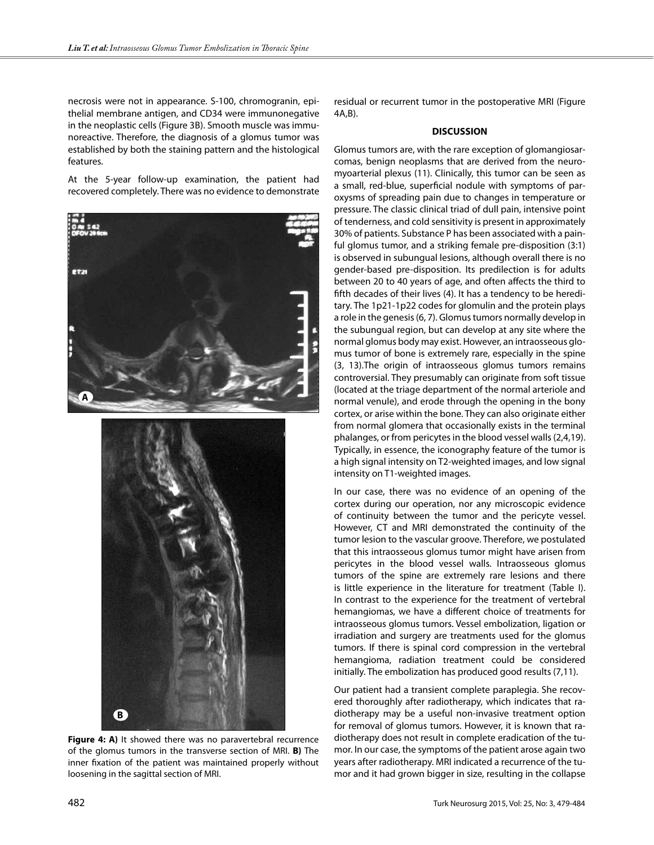necrosis were not in appearance. S-100, chromogranin, epithelial membrane antigen, and CD34 were immunonegative in the neoplastic cells (Figure 3B). Smooth muscle was immunoreactive. Therefore, the diagnosis of a glomus tumor was established by both the staining pattern and the histological features.

At the 5-year follow-up examination, the patient had recovered completely. There was no evidence to demonstrate



**Figure 4: A)** It showed there was no paravertebral recurrence of the glomus tumors in the transverse section of MRI. **B)** The inner fixation of the patient was maintained properly without loosening in the sagittal section of MRI.

residual or recurrent tumor in the postoperative MRI (Figure 4A,B).

### **DISCUSSION**

Glomus tumors are, with the rare exception of glomangiosarcomas, benign neoplasms that are derived from the neuromyoarterial plexus (11). Clinically, this tumor can be seen as a small, red-blue, superficial nodule with symptoms of paroxysms of spreading pain due to changes in temperature or pressure. The classic clinical triad of dull pain, intensive point of tenderness, and cold sensitivity is present in approximately 30% of patients. Substance P has been associated with a painful glomus tumor, and a striking female pre-disposition (3:1) is observed in subungual lesions, although overall there is no gender-based pre-disposition. Its predilection is for adults between 20 to 40 years of age, and often affects the third to fifth decades of their lives (4). It has a tendency to be hereditary. The 1p21-1p22 codes for glomulin and the protein plays a role in the genesis (6, 7). Glomus tumors normally develop in the subungual region, but can develop at any site where the normal glomus body may exist. However, an intraosseous glomus tumor of bone is extremely rare, especially in the spine (3, 13).The origin of intraosseous glomus tumors remains controversial. They presumably can originate from soft tissue (located at the triage department of the normal arteriole and normal venule), and erode through the opening in the bony cortex, or arise within the bone. They can also originate either from normal glomera that occasionally exists in the terminal phalanges, or from pericytes in the blood vessel walls (2,4,19). Typically, in essence, the iconography feature of the tumor is a high signal intensity on T2-weighted images, and low signal intensity on T1-weighted images.

In our case, there was no evidence of an opening of the cortex during our operation, nor any microscopic evidence of continuity between the tumor and the pericyte vessel. However, CT and MRI demonstrated the continuity of the tumor lesion to the vascular groove. Therefore, we postulated that this intraosseous glomus tumor might have arisen from pericytes in the blood vessel walls. Intraosseous glomus tumors of the spine are extremely rare lesions and there is little experience in the literature for treatment (Table I). In contrast to the experience for the treatment of vertebral hemangiomas, we have a different choice of treatments for intraosseous glomus tumors. Vessel embolization, ligation or irradiation and surgery are treatments used for the glomus tumors. If there is spinal cord compression in the vertebral hemangioma, radiation treatment could be considered initially. The embolization has produced good results (7,11).

Our patient had a transient complete paraplegia. She recovered thoroughly after radiotherapy, which indicates that radiotherapy may be a useful non-invasive treatment option for removal of glomus tumors. However, it is known that radiotherapy does not result in complete eradication of the tumor. In our case, the symptoms of the patient arose again two years after radiotherapy. MRI indicated a recurrence of the tumor and it had grown bigger in size, resulting in the collapse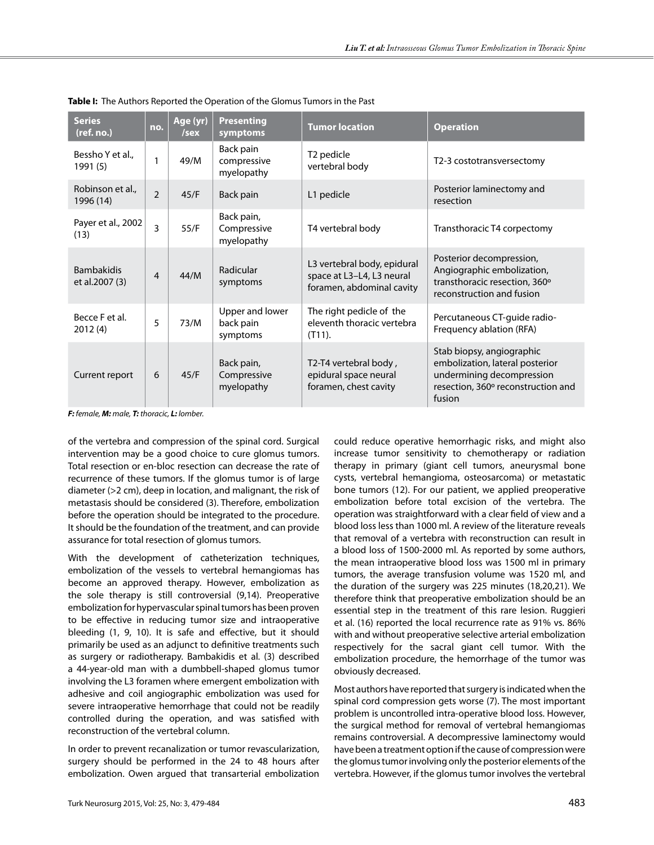| <b>Series</b><br>(ref. no.)         | no.            | Age (yr)<br>/sex | <b>Presenting</b><br>symptoms            | <b>Tumor location</b>                                                                 | <b>Operation</b>                                                                                                                          |
|-------------------------------------|----------------|------------------|------------------------------------------|---------------------------------------------------------------------------------------|-------------------------------------------------------------------------------------------------------------------------------------------|
| Bessho Y et al<br>1991 (5)          | 1              | 49/M             | Back pain<br>compressive<br>myelopathy   | T <sub>2</sub> pedicle<br>vertebral body                                              | T2-3 costotransversectomy                                                                                                                 |
| Robinson et al<br>1996 (14)         | $\overline{2}$ | 45/F             | Back pain                                | L1 pedicle                                                                            | Posterior laminectomy and<br>resection                                                                                                    |
| Payer et al., 2002<br>(13)          | 3              | 55/F             | Back pain,<br>Compressive<br>myelopathy  | T4 vertebral body                                                                     | Transthoracic T4 corpectomy                                                                                                               |
| <b>Bambakidis</b><br>et al.2007 (3) | $\overline{4}$ | 44/M             | Radicular<br>symptoms                    | L3 vertebral body, epidural<br>space at L3-L4, L3 neural<br>foramen, abdominal cavity | Posterior decompression,<br>Angiographic embolization,<br>transthoracic resection, 360°<br>reconstruction and fusion                      |
| Becce F et al.<br>2012(4)           | 5              | 73/M             | Upper and lower<br>back pain<br>symptoms | The right pedicle of the<br>eleventh thoracic vertebra<br>$(T11)$ .                   | Percutaneous CT-guide radio-<br>Frequency ablation (RFA)                                                                                  |
| Current report                      | 6              | 45/F             | Back pain,<br>Compressive<br>myelopathy  | T2-T4 vertebral body,<br>epidural space neural<br>foramen, chest cavity               | Stab biopsy, angiographic<br>embolization, lateral posterior<br>undermining decompression<br>resection, 360° reconstruction and<br>fusion |

**Table I:** The Authors Reported the Operation of the Glomus Tumors in the Past

*F: female, M: male, T: thoracic, L: lomber.*

of the vertebra and compression of the spinal cord. Surgical intervention may be a good choice to cure glomus tumors. Total resection or en-bloc resection can decrease the rate of recurrence of these tumors. If the glomus tumor is of large diameter (>2 cm), deep in location, and malignant, the risk of metastasis should be considered (3). Therefore, embolization before the operation should be integrated to the procedure. It should be the foundation of the treatment, and can provide assurance for total resection of glomus tumors.

With the development of catheterization techniques, embolization of the vessels to vertebral hemangiomas has become an approved therapy. However, embolization as the sole therapy is still controversial (9,14). Preoperative embolization for hypervascular spinal tumors has been proven to be effective in reducing tumor size and intraoperative bleeding (1, 9, 10). It is safe and effective, but it should primarily be used as an adjunct to definitive treatments such as surgery or radiotherapy. Bambakidis et al. (3) described a 44-year-old man with a dumbbell-shaped glomus tumor involving the L3 foramen where emergent embolization with adhesive and coil angiographic embolization was used for severe intraoperative hemorrhage that could not be readily controlled during the operation, and was satisfied with reconstruction of the vertebral column.

In order to prevent recanalization or tumor revascularization, surgery should be performed in the 24 to 48 hours after embolization. Owen argued that transarterial embolization could reduce operative hemorrhagic risks, and might also increase tumor sensitivity to chemotherapy or radiation therapy in primary (giant cell tumors, aneurysmal bone cysts, vertebral hemangioma, osteosarcoma) or metastatic bone tumors (12). For our patient, we applied preoperative embolization before total excision of the vertebra. The operation was straightforward with a clear field of view and a blood loss less than 1000 ml. A review of the literature reveals that removal of a vertebra with reconstruction can result in a blood loss of 1500-2000 ml. As reported by some authors, the mean intraoperative blood loss was 1500 ml in primary tumors, the average transfusion volume was 1520 ml, and the duration of the surgery was 225 minutes (18,20,21). We therefore think that preoperative embolization should be an essential step in the treatment of this rare lesion. Ruggieri et al. (16) reported the local recurrence rate as 91% vs. 86% with and without preoperative selective arterial embolization respectively for the sacral giant cell tumor. With the embolization procedure, the hemorrhage of the tumor was obviously decreased.

Most authors have reported that surgery is indicated when the spinal cord compression gets worse (7). The most important problem is uncontrolled intra-operative blood loss. However, the surgical method for removal of vertebral hemangiomas remains controversial. A decompressive laminectomy would have been a treatment option if the cause of compression were the glomus tumor involving only the posterior elements of the vertebra. However, if the glomus tumor involves the vertebral